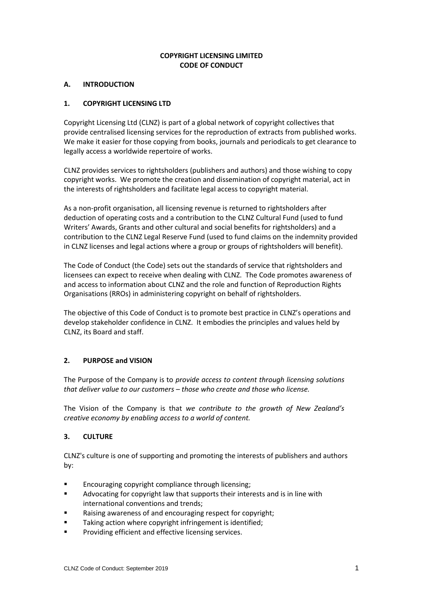## **COPYRIGHT LICENSING LIMITED CODE OF CONDUCT**

#### **A. INTRODUCTION**

## **1. COPYRIGHT LICENSING LTD**

Copyright Licensing Ltd (CLNZ) is part of a global network of copyright collectives that provide centralised licensing services for the reproduction of extracts from published works. We make it easier for those copying from books, journals and periodicals to get clearance to legally access a worldwide repertoire of works.

CLNZ provides services to rightsholders (publishers and authors) and those wishing to copy copyright works. We promote the creation and dissemination of copyright material, act in the interests of rightsholders and facilitate legal access to copyright material.

As a non-profit organisation, all licensing revenue is returned to rightsholders after deduction of operating costs and a contribution to the CLNZ Cultural Fund (used to fund Writers' Awards, Grants and other cultural and social benefits for rightsholders) and a contribution to the CLNZ Legal Reserve Fund (used to fund claims on the indemnity provided in CLNZ licenses and legal actions where a group or groups of rightsholders will benefit).

The Code of Conduct (the Code) sets out the standards of service that rightsholders and licensees can expect to receive when dealing with CLNZ. The Code promotes awareness of and access to information about CLNZ and the role and function of Reproduction Rights Organisations (RROs) in administering copyright on behalf of rightsholders.

The objective of this Code of Conduct is to promote best practice in CLNZ's operations and develop stakeholder confidence in CLNZ. It embodies the principles and values held by CLNZ, its Board and staff.

# **2. PURPOSE and VISION**

The Purpose of the Company is to *provide access to content through licensing solutions that deliver value to our customers – those who create and those who license.*

The Vision of the Company is that *we contribute to the growth of New Zealand's creative economy by enabling access to a world of content.*

# **3. CULTURE**

CLNZ's culture is one of supporting and promoting the interests of publishers and authors by:

- **Encouraging copyright compliance through licensing;**
- Advocating for copyright law that supports their interests and is in line with international conventions and trends;
- Raising awareness of and encouraging respect for copyright;
- Taking action where copyright infringement is identified;
- Providing efficient and effective licensing services.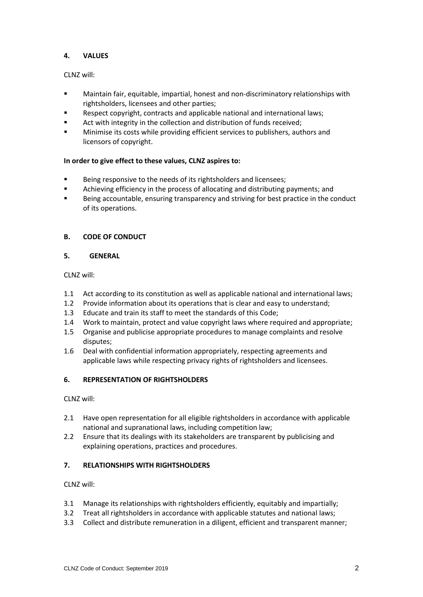## **4. VALUES**

CLNZ will:

- Maintain fair, equitable, impartial, honest and non-discriminatory relationships with rightsholders, licensees and other parties;
- Respect copyright, contracts and applicable national and international laws;
- Act with integrity in the collection and distribution of funds received:
- Minimise its costs while providing efficient services to publishers, authors and licensors of copyright.

## **In order to give effect to these values, CLNZ aspires to:**

- Being responsive to the needs of its rightsholders and licensees;
- Achieving efficiency in the process of allocating and distributing payments; and
- Being accountable, ensuring transparency and striving for best practice in the conduct of its operations.

# **B. CODE OF CONDUCT**

#### **5. GENERAL**

CLNZ will:

- 1.1 Act according to its constitution as well as applicable national and international laws;
- 1.2 Provide information about its operations that is clear and easy to understand;
- 1.3 Educate and train its staff to meet the standards of this Code;
- 1.4 Work to maintain, protect and value copyright laws where required and appropriate;
- 1.5 Organise and publicise appropriate procedures to manage complaints and resolve disputes;
- 1.6 Deal with confidential information appropriately, respecting agreements and applicable laws while respecting privacy rights of rightsholders and licensees.

# **6. REPRESENTATION OF RIGHTSHOLDERS**

CLNZ will:

- 2.1 Have open representation for all eligible rightsholders in accordance with applicable national and supranational laws, including competition law;
- 2.2 Ensure that its dealings with its stakeholders are transparent by publicising and explaining operations, practices and procedures.

#### **7. RELATIONSHIPS WITH RIGHTSHOLDERS**

CLNZ will:

- 3.1 Manage its relationships with rightsholders efficiently, equitably and impartially;
- 3.2 Treat all rightsholders in accordance with applicable statutes and national laws;
- 3.3 Collect and distribute remuneration in a diligent, efficient and transparent manner;